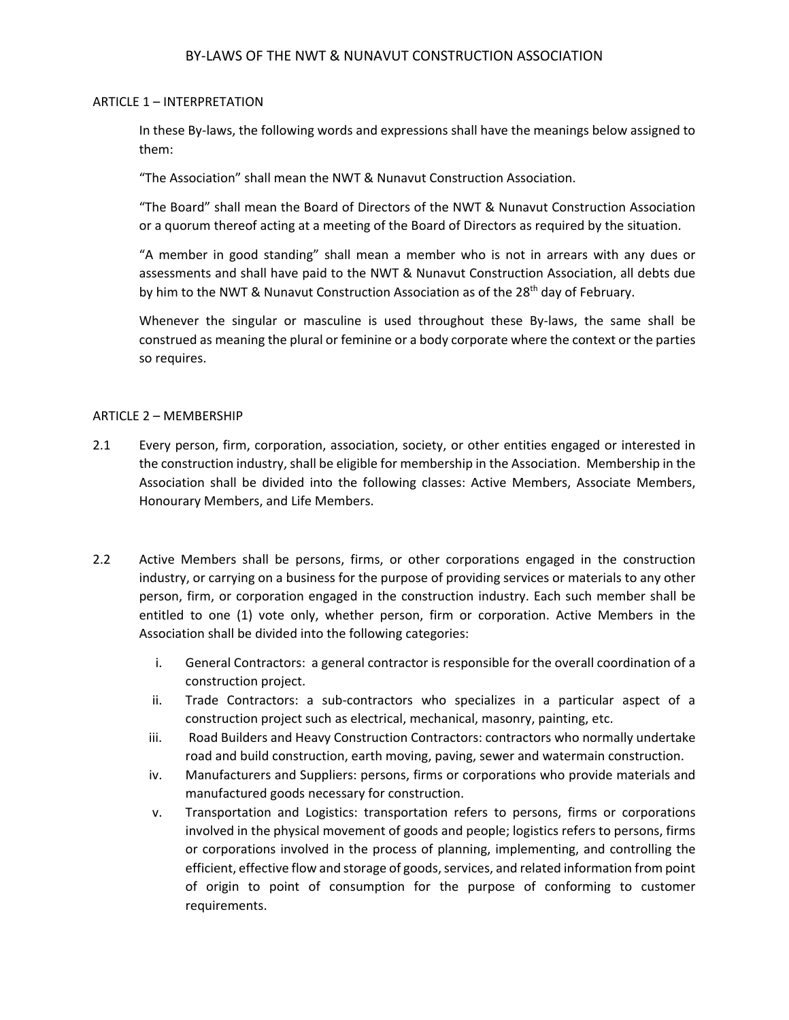# BY‐LAWS OF THE NWT & NUNAVUT CONSTRUCTION ASSOCIATION

#### ARTICLE 1 – INTERPRETATION

In these By‐laws, the following words and expressions shall have the meanings below assigned to them:

"The Association" shall mean the NWT & Nunavut Construction Association.

"The Board" shall mean the Board of Directors of the NWT & Nunavut Construction Association or a quorum thereof acting at a meeting of the Board of Directors as required by the situation.

"A member in good standing" shall mean a member who is not in arrears with any dues or assessments and shall have paid to the NWT & Nunavut Construction Association, all debts due by him to the NWT & Nunavut Construction Association as of the 28<sup>th</sup> day of February.

Whenever the singular or masculine is used throughout these By-laws, the same shall be construed as meaning the plural or feminine or a body corporate where the context or the parties so requires.

### ARTICLE 2 – MEMBERSHIP

- 2.1 Every person, firm, corporation, association, society, or other entities engaged or interested in the construction industry, shall be eligible for membership in the Association. Membership in the Association shall be divided into the following classes: Active Members, Associate Members, Honourary Members, and Life Members.
- 2.2 Active Members shall be persons, firms, or other corporations engaged in the construction industry, or carrying on a business for the purpose of providing services or materials to any other person, firm, or corporation engaged in the construction industry. Each such member shall be entitled to one (1) vote only, whether person, firm or corporation. Active Members in the Association shall be divided into the following categories:
	- i. General Contractors: a general contractor is responsible for the overall coordination of a construction project.
	- ii. Trade Contractors: a sub‐contractors who specializes in a particular aspect of a construction project such as electrical, mechanical, masonry, painting, etc.
	- iii. Road Builders and Heavy Construction Contractors: contractors who normally undertake road and build construction, earth moving, paving, sewer and watermain construction.
	- iv. Manufacturers and Suppliers: persons, firms or corporations who provide materials and manufactured goods necessary for construction.
	- v. Transportation and Logistics: transportation refers to persons, firms or corporations involved in the physical movement of goods and people; logistics refers to persons, firms or corporations involved in the process of planning, implementing, and controlling the efficient, effective flow and storage of goods, services, and related information from point of origin to point of consumption for the purpose of conforming to customer requirements.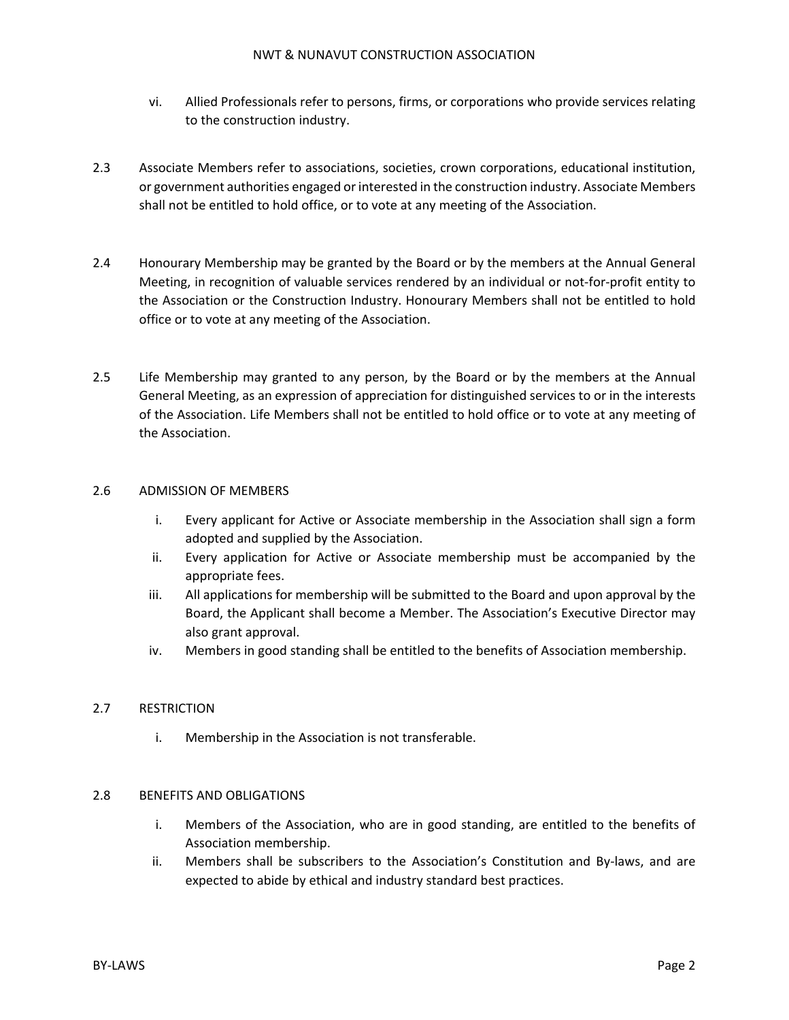#### NWT & NUNAVUT CONSTRUCTION ASSOCIATION

- vi. Allied Professionals refer to persons, firms, or corporations who provide services relating to the construction industry.
- 2.3 Associate Members refer to associations, societies, crown corporations, educational institution, or government authorities engaged or interested in the construction industry. Associate Members shall not be entitled to hold office, or to vote at any meeting of the Association.
- 2.4 Honourary Membership may be granted by the Board or by the members at the Annual General Meeting, in recognition of valuable services rendered by an individual or not‐for‐profit entity to the Association or the Construction Industry. Honourary Members shall not be entitled to hold office or to vote at any meeting of the Association.
- 2.5 Life Membership may granted to any person, by the Board or by the members at the Annual General Meeting, as an expression of appreciation for distinguished services to or in the interests of the Association. Life Members shall not be entitled to hold office or to vote at any meeting of the Association.

# 2.6 ADMISSION OF MEMBERS

- i. Every applicant for Active or Associate membership in the Association shall sign a form adopted and supplied by the Association.
- ii. Every application for Active or Associate membership must be accompanied by the appropriate fees.
- iii. All applications for membership will be submitted to the Board and upon approval by the Board, the Applicant shall become a Member. The Association's Executive Director may also grant approval.
- iv. Members in good standing shall be entitled to the benefits of Association membership.

## 2.7 RESTRICTION

i. Membership in the Association is not transferable.

## 2.8 BENEFITS AND OBLIGATIONS

- i. Members of the Association, who are in good standing, are entitled to the benefits of Association membership.
- ii. Members shall be subscribers to the Association's Constitution and By-laws, and are expected to abide by ethical and industry standard best practices.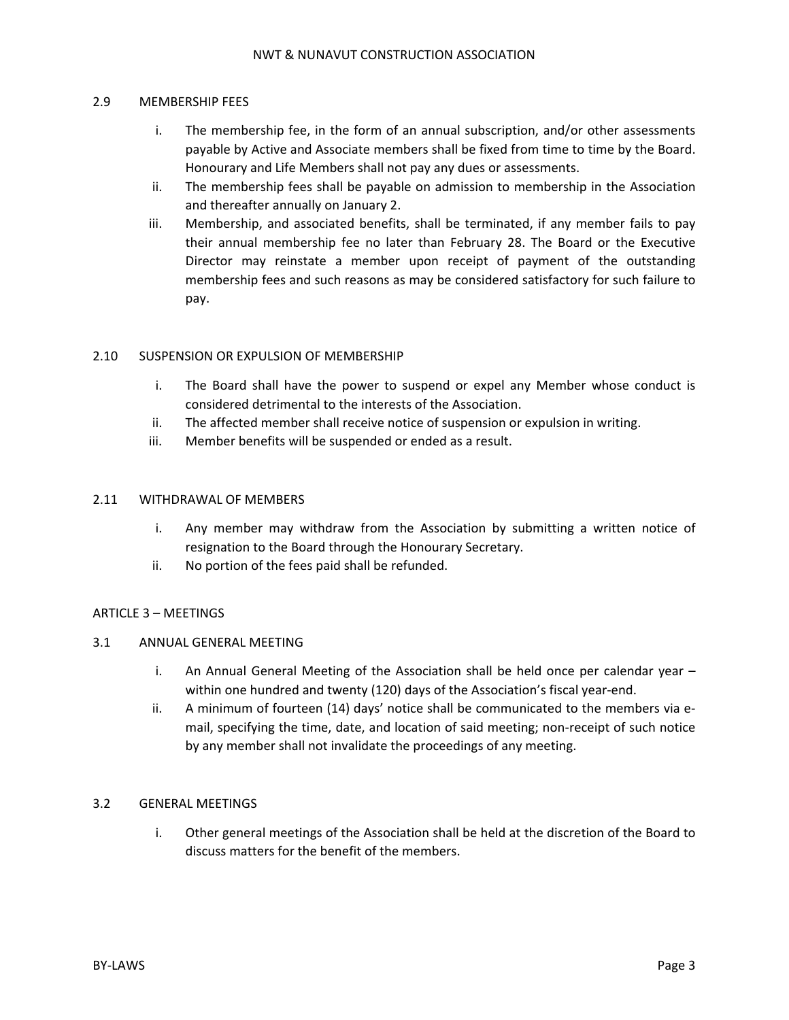### 2.9 MEMBERSHIP FEES

- i. The membership fee, in the form of an annual subscription, and/or other assessments payable by Active and Associate members shall be fixed from time to time by the Board. Honourary and Life Members shall not pay any dues or assessments.
- ii. The membership fees shall be payable on admission to membership in the Association and thereafter annually on January 2.
- iii. Membership, and associated benefits, shall be terminated, if any member fails to pay their annual membership fee no later than February 28. The Board or the Executive Director may reinstate a member upon receipt of payment of the outstanding membership fees and such reasons as may be considered satisfactory for such failure to pay.

## 2.10 SUSPENSION OR EXPULSION OF MEMBERSHIP

- i. The Board shall have the power to suspend or expel any Member whose conduct is considered detrimental to the interests of the Association.
- ii. The affected member shall receive notice of suspension or expulsion in writing.
- iii. Member benefits will be suspended or ended as a result.

### 2.11 WITHDRAWAL OF MEMBERS

- i. Any member may withdraw from the Association by submitting a written notice of resignation to the Board through the Honourary Secretary.
- ii. No portion of the fees paid shall be refunded.

## ARTICLE 3 – MEETINGS

#### 3.1 ANNUAL GENERAL MEETING

- i. An Annual General Meeting of the Association shall be held once per calendar year within one hundred and twenty (120) days of the Association's fiscal year‐end.
- ii. A minimum of fourteen (14) days' notice shall be communicated to the members via email, specifying the time, date, and location of said meeting; non‐receipt of such notice by any member shall not invalidate the proceedings of any meeting.

## 3.2 GENERAL MEETINGS

i. Other general meetings of the Association shall be held at the discretion of the Board to discuss matters for the benefit of the members.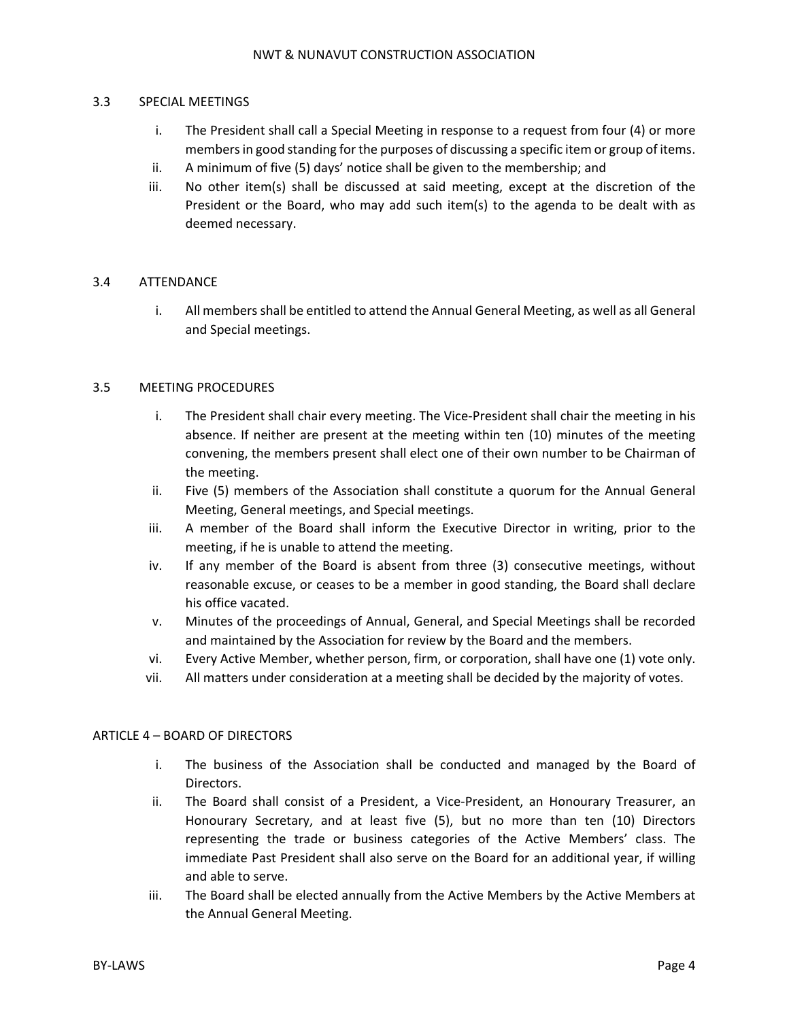### 3.3 SPECIAL MEETINGS

- i. The President shall call a Special Meeting in response to a request from four (4) or more members in good standing for the purposes of discussing a specific item or group of items.
- ii. A minimum of five (5) days' notice shall be given to the membership; and
- iii. No other item(s) shall be discussed at said meeting, except at the discretion of the President or the Board, who may add such item(s) to the agenda to be dealt with as deemed necessary.

## 3.4 ATTENDANCE

i. All members shall be entitled to attend the Annual General Meeting, as well as all General and Special meetings.

### 3.5 MEETING PROCEDURES

- i. The President shall chair every meeting. The Vice‐President shall chair the meeting in his absence. If neither are present at the meeting within ten (10) minutes of the meeting convening, the members present shall elect one of their own number to be Chairman of the meeting.
- ii. Five (5) members of the Association shall constitute a quorum for the Annual General Meeting, General meetings, and Special meetings.
- iii. A member of the Board shall inform the Executive Director in writing, prior to the meeting, if he is unable to attend the meeting.
- iv. If any member of the Board is absent from three (3) consecutive meetings, without reasonable excuse, or ceases to be a member in good standing, the Board shall declare his office vacated.
- v. Minutes of the proceedings of Annual, General, and Special Meetings shall be recorded and maintained by the Association for review by the Board and the members.
- vi. Every Active Member, whether person, firm, or corporation, shall have one (1) vote only.
- vii. All matters under consideration at a meeting shall be decided by the majority of votes.

## ARTICLE 4 – BOARD OF DIRECTORS

- i. The business of the Association shall be conducted and managed by the Board of Directors.
- ii. The Board shall consist of a President, a Vice-President, an Honourary Treasurer, an Honourary Secretary, and at least five (5), but no more than ten (10) Directors representing the trade or business categories of the Active Members' class. The immediate Past President shall also serve on the Board for an additional year, if willing and able to serve.
- iii. The Board shall be elected annually from the Active Members by the Active Members at the Annual General Meeting.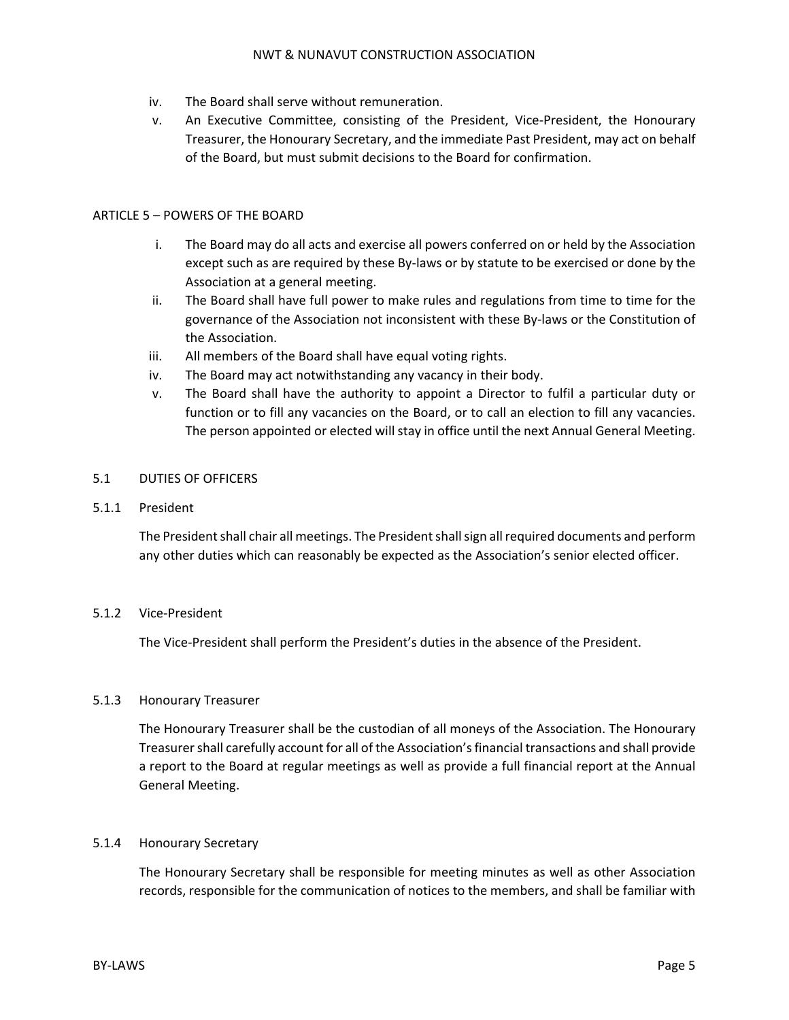- iv. The Board shall serve without remuneration.
- v. An Executive Committee, consisting of the President, Vice-President, the Honourary Treasurer, the Honourary Secretary, and the immediate Past President, may act on behalf of the Board, but must submit decisions to the Board for confirmation.

# ARTICLE 5 – POWERS OF THE BOARD

- i. The Board may do all acts and exercise all powers conferred on or held by the Association except such as are required by these By‐laws or by statute to be exercised or done by the Association at a general meeting.
- ii. The Board shall have full power to make rules and regulations from time to time for the governance of the Association not inconsistent with these By-laws or the Constitution of the Association.
- iii. All members of the Board shall have equal voting rights.
- iv. The Board may act notwithstanding any vacancy in their body.
- v. The Board shall have the authority to appoint a Director to fulfil a particular duty or function or to fill any vacancies on the Board, or to call an election to fill any vacancies. The person appointed or elected will stay in office until the next Annual General Meeting.

## 5.1 DUTIES OF OFFICERS

5.1.1 President

The President shall chair all meetings. The President shall sign all required documents and perform any other duties which can reasonably be expected as the Association's senior elected officer.

## 5.1.2 Vice‐President

The Vice‐President shall perform the President's duties in the absence of the President.

## 5.1.3 Honourary Treasurer

The Honourary Treasurer shall be the custodian of all moneys of the Association. The Honourary Treasurershall carefully account for all of the Association'sfinancial transactions and shall provide a report to the Board at regular meetings as well as provide a full financial report at the Annual General Meeting.

## 5.1.4 Honourary Secretary

The Honourary Secretary shall be responsible for meeting minutes as well as other Association records, responsible for the communication of notices to the members, and shall be familiar with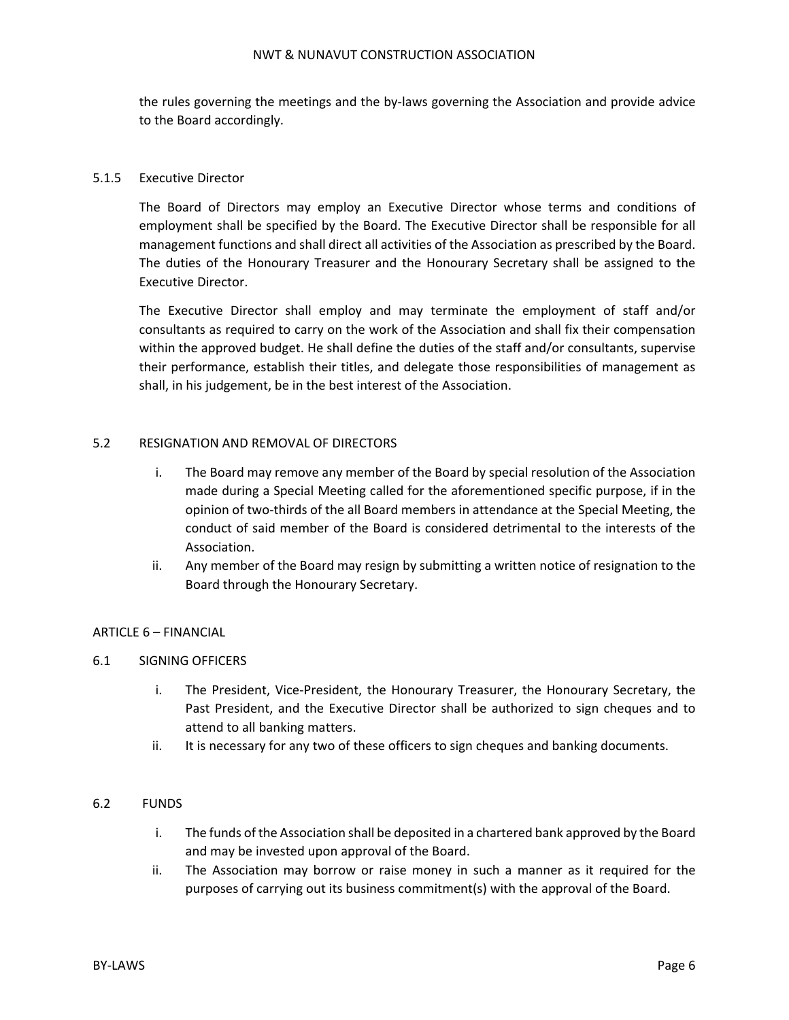### NWT & NUNAVUT CONSTRUCTION ASSOCIATION

the rules governing the meetings and the by‐laws governing the Association and provide advice to the Board accordingly.

### 5.1.5 Executive Director

The Board of Directors may employ an Executive Director whose terms and conditions of employment shall be specified by the Board. The Executive Director shall be responsible for all management functions and shall direct all activities of the Association as prescribed by the Board. The duties of the Honourary Treasurer and the Honourary Secretary shall be assigned to the Executive Director.

The Executive Director shall employ and may terminate the employment of staff and/or consultants as required to carry on the work of the Association and shall fix their compensation within the approved budget. He shall define the duties of the staff and/or consultants, supervise their performance, establish their titles, and delegate those responsibilities of management as shall, in his judgement, be in the best interest of the Association.

### 5.2 RESIGNATION AND REMOVAL OF DIRECTORS

- i. The Board may remove any member of the Board by special resolution of the Association made during a Special Meeting called for the aforementioned specific purpose, if in the opinion of two‐thirds of the all Board members in attendance at the Special Meeting, the conduct of said member of the Board is considered detrimental to the interests of the Association.
- ii. Any member of the Board may resign by submitting a written notice of resignation to the Board through the Honourary Secretary.

#### ARTICLE 6 – FINANCIAL

#### 6.1 SIGNING OFFICERS

- i. The President, Vice‐President, the Honourary Treasurer, the Honourary Secretary, the Past President, and the Executive Director shall be authorized to sign cheques and to attend to all banking matters.
- ii. It is necessary for any two of these officers to sign cheques and banking documents.

#### 6.2 FUNDS

- i. The funds of the Association shall be deposited in a chartered bank approved by the Board and may be invested upon approval of the Board.
- ii. The Association may borrow or raise money in such a manner as it required for the purposes of carrying out its business commitment(s) with the approval of the Board.